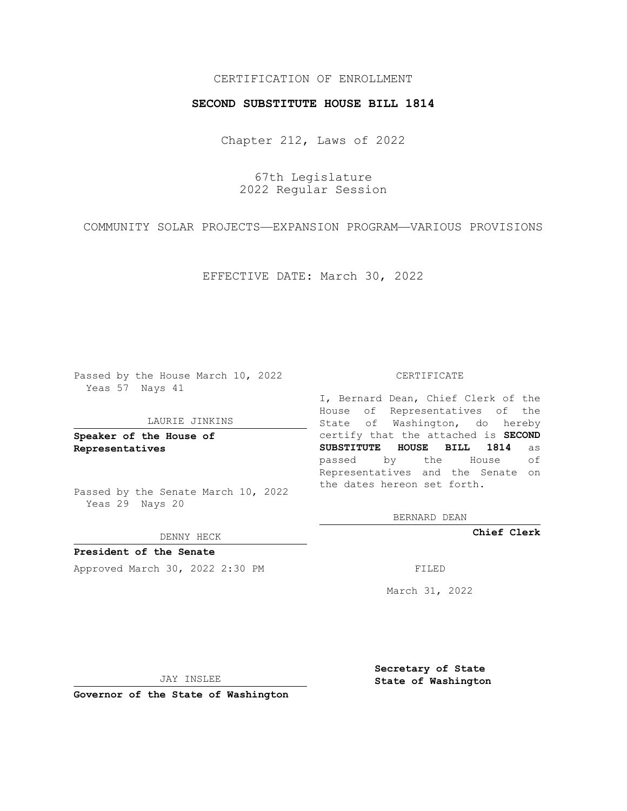# CERTIFICATION OF ENROLLMENT

## **SECOND SUBSTITUTE HOUSE BILL 1814**

Chapter 212, Laws of 2022

67th Legislature 2022 Regular Session

COMMUNITY SOLAR PROJECTS—EXPANSION PROGRAM—VARIOUS PROVISIONS

EFFECTIVE DATE: March 30, 2022

Passed by the House March 10, 2022 Yeas 57 Nays 41

#### LAURIE JINKINS

**Speaker of the House of Representatives**

Passed by the Senate March 10, 2022 Yeas 29 Nays 20

DENNY HECK

**President of the Senate** Approved March 30, 2022 2:30 PM

CERTIFICATE

I, Bernard Dean, Chief Clerk of the House of Representatives of the State of Washington, do hereby certify that the attached is **SECOND SUBSTITUTE HOUSE BILL 1814** as passed by the House of Representatives and the Senate on the dates hereon set forth.

BERNARD DEAN

**Chief Clerk**

March 31, 2022

JAY INSLEE

**Governor of the State of Washington**

**Secretary of State State of Washington**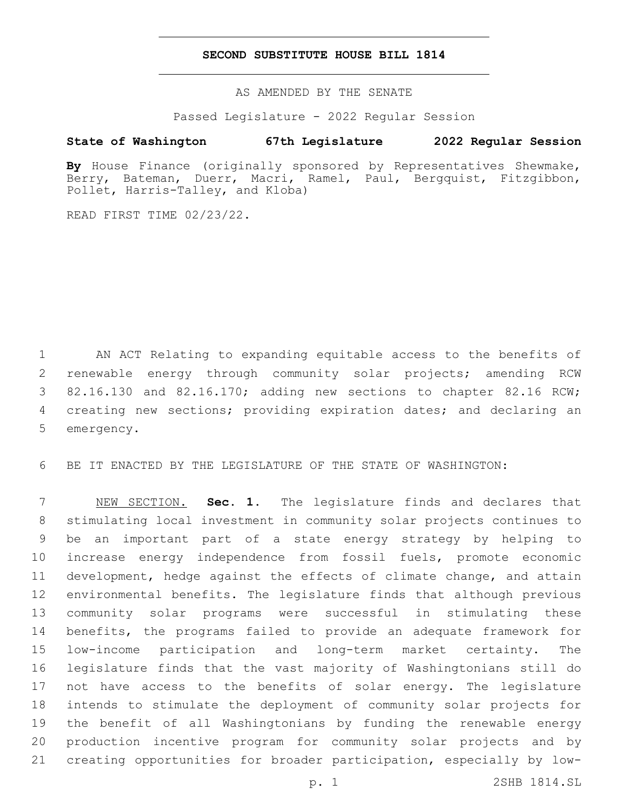## **SECOND SUBSTITUTE HOUSE BILL 1814**

AS AMENDED BY THE SENATE

Passed Legislature - 2022 Regular Session

# **State of Washington 67th Legislature 2022 Regular Session**

**By** House Finance (originally sponsored by Representatives Shewmake, Berry, Bateman, Duerr, Macri, Ramel, Paul, Bergquist, Fitzgibbon, Pollet, Harris-Talley, and Kloba)

READ FIRST TIME 02/23/22.

 AN ACT Relating to expanding equitable access to the benefits of renewable energy through community solar projects; amending RCW 82.16.130 and 82.16.170; adding new sections to chapter 82.16 RCW; creating new sections; providing expiration dates; and declaring an 5 emergency.

BE IT ENACTED BY THE LEGISLATURE OF THE STATE OF WASHINGTON:

 NEW SECTION. **Sec. 1.** The legislature finds and declares that stimulating local investment in community solar projects continues to be an important part of a state energy strategy by helping to increase energy independence from fossil fuels, promote economic development, hedge against the effects of climate change, and attain environmental benefits. The legislature finds that although previous community solar programs were successful in stimulating these benefits, the programs failed to provide an adequate framework for low-income participation and long-term market certainty. The legislature finds that the vast majority of Washingtonians still do not have access to the benefits of solar energy. The legislature intends to stimulate the deployment of community solar projects for the benefit of all Washingtonians by funding the renewable energy production incentive program for community solar projects and by creating opportunities for broader participation, especially by low-

p. 1 2SHB 1814.SL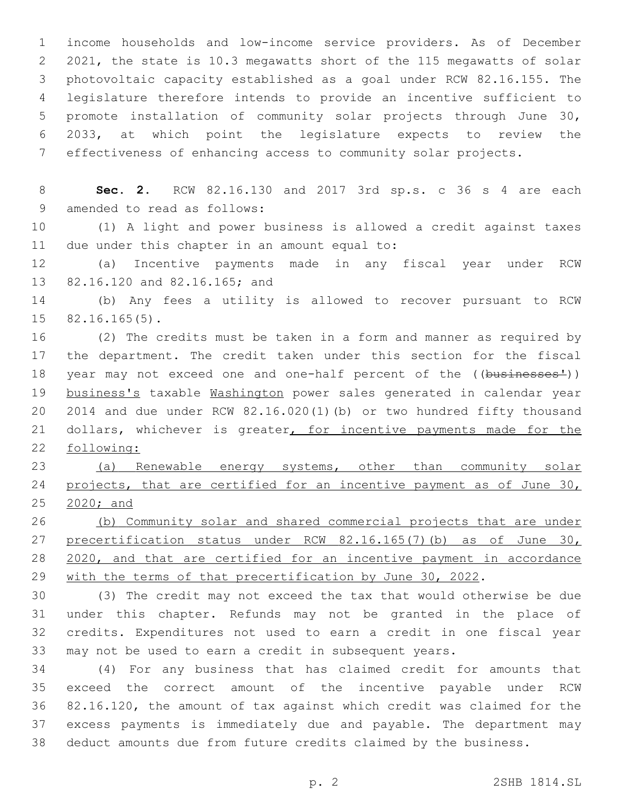income households and low-income service providers. As of December 2021, the state is 10.3 megawatts short of the 115 megawatts of solar photovoltaic capacity established as a goal under RCW 82.16.155. The legislature therefore intends to provide an incentive sufficient to promote installation of community solar projects through June 30, 2033, at which point the legislature expects to review the effectiveness of enhancing access to community solar projects.

 **Sec. 2.** RCW 82.16.130 and 2017 3rd sp.s. c 36 s 4 are each 9 amended to read as follows:

 (1) A light and power business is allowed a credit against taxes 11 due under this chapter in an amount equal to:

 (a) Incentive payments made in any fiscal year under RCW 13 82.16.120 and 82.16.165; and

 (b) Any fees a utility is allowed to recover pursuant to RCW  $15 \quad 82.16.165(5)$ .

 (2) The credits must be taken in a form and manner as required by the department. The credit taken under this section for the fiscal 18 year may not exceed one and one-half percent of the ((businesses')) business's taxable Washington power sales generated in calendar year 2014 and due under RCW 82.16.020(1)(b) or two hundred fifty thousand 21 dollars, whichever is greater, for incentive payments made for the following:

 (a) Renewable energy systems, other than community solar 24 projects, that are certified for an incentive payment as of June 30, 2020; and

 (b) Community solar and shared commercial projects that are under 27 precertification status under RCW 82.16.165(7)(b) as of June 30, 2020, and that are certified for an incentive payment in accordance 29 with the terms of that precertification by June 30, 2022.

 (3) The credit may not exceed the tax that would otherwise be due under this chapter. Refunds may not be granted in the place of credits. Expenditures not used to earn a credit in one fiscal year may not be used to earn a credit in subsequent years.

 (4) For any business that has claimed credit for amounts that exceed the correct amount of the incentive payable under RCW 82.16.120, the amount of tax against which credit was claimed for the excess payments is immediately due and payable. The department may deduct amounts due from future credits claimed by the business.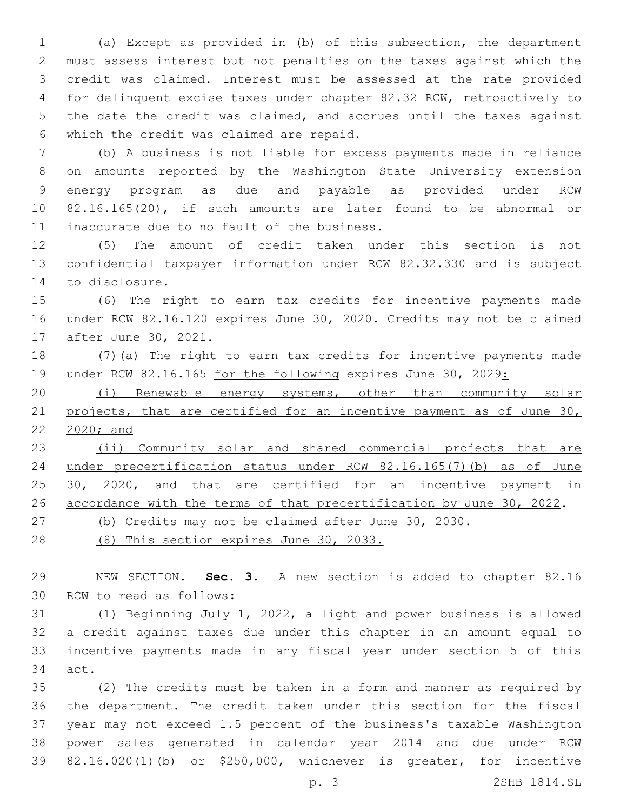(a) Except as provided in (b) of this subsection, the department must assess interest but not penalties on the taxes against which the credit was claimed. Interest must be assessed at the rate provided for delinquent excise taxes under chapter 82.32 RCW, retroactively to the date the credit was claimed, and accrues until the taxes against 6 which the credit was claimed are repaid.

 (b) A business is not liable for excess payments made in reliance on amounts reported by the Washington State University extension energy program as due and payable as provided under RCW 82.16.165(20), if such amounts are later found to be abnormal or 11 inaccurate due to no fault of the business.

 (5) The amount of credit taken under this section is not confidential taxpayer information under RCW 82.32.330 and is subject 14 to disclosure.

 (6) The right to earn tax credits for incentive payments made under RCW 82.16.120 expires June 30, 2020. Credits may not be claimed 17 after June 30, 2021.

18 (7)(a) The right to earn tax credits for incentive payments made 19 under RCW 82.16.165 for the following expires June 30, 2029:

 (i) Renewable energy systems, other than community solar 21 projects, that are certified for an incentive payment as of June 30, 2020; and

 (ii) Community solar and shared commercial projects that are under precertification status under RCW 82.16.165(7)(b) as of June 25 30, 2020, and that are certified for an incentive payment in accordance with the terms of that precertification by June 30, 2022.

(b) Credits may not be claimed after June 30, 2030.

(8) This section expires June 30, 2033.

 NEW SECTION. **Sec. 3.** A new section is added to chapter 82.16 30 RCW to read as follows:

 (1) Beginning July 1, 2022, a light and power business is allowed a credit against taxes due under this chapter in an amount equal to incentive payments made in any fiscal year under section 5 of this 34 act.

 (2) The credits must be taken in a form and manner as required by the department. The credit taken under this section for the fiscal year may not exceed 1.5 percent of the business's taxable Washington power sales generated in calendar year 2014 and due under RCW 82.16.020(1)(b) or \$250,000, whichever is greater, for incentive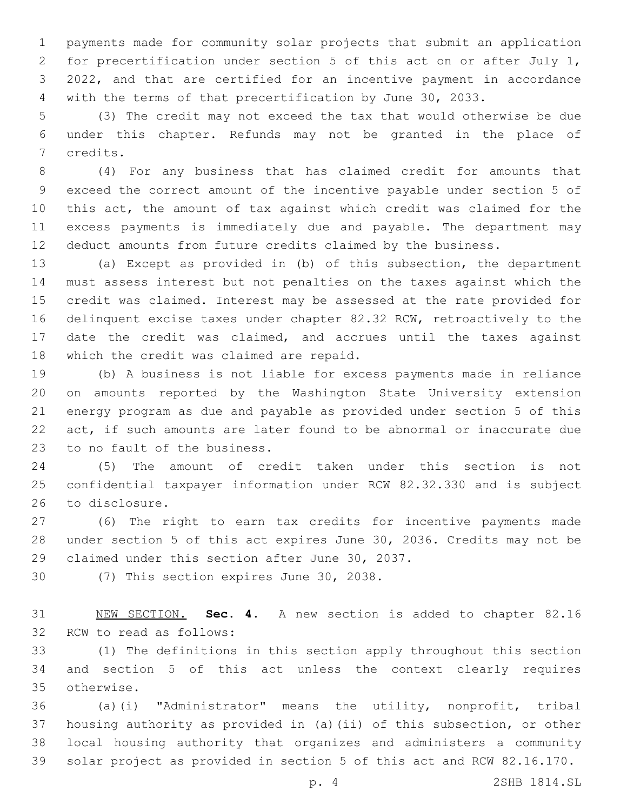payments made for community solar projects that submit an application for precertification under section 5 of this act on or after July 1, 2022, and that are certified for an incentive payment in accordance with the terms of that precertification by June 30, 2033.

 (3) The credit may not exceed the tax that would otherwise be due under this chapter. Refunds may not be granted in the place of 7 credits.

 (4) For any business that has claimed credit for amounts that exceed the correct amount of the incentive payable under section 5 of this act, the amount of tax against which credit was claimed for the excess payments is immediately due and payable. The department may deduct amounts from future credits claimed by the business.

 (a) Except as provided in (b) of this subsection, the department must assess interest but not penalties on the taxes against which the credit was claimed. Interest may be assessed at the rate provided for delinquent excise taxes under chapter 82.32 RCW, retroactively to the date the credit was claimed, and accrues until the taxes against 18 which the credit was claimed are repaid.

 (b) A business is not liable for excess payments made in reliance on amounts reported by the Washington State University extension energy program as due and payable as provided under section 5 of this act, if such amounts are later found to be abnormal or inaccurate due 23 to no fault of the business.

 (5) The amount of credit taken under this section is not confidential taxpayer information under RCW 82.32.330 and is subject 26 to disclosure.

 (6) The right to earn tax credits for incentive payments made under section 5 of this act expires June 30, 2036. Credits may not be 29 claimed under this section after June 30, 2037.

30 (7) This section expires June 30, 2038.

 NEW SECTION. **Sec. 4.** A new section is added to chapter 82.16 32 RCW to read as follows:

 (1) The definitions in this section apply throughout this section and section 5 of this act unless the context clearly requires 35 otherwise.

 (a)(i) "Administrator" means the utility, nonprofit, tribal housing authority as provided in (a)(ii) of this subsection, or other local housing authority that organizes and administers a community solar project as provided in section 5 of this act and RCW 82.16.170.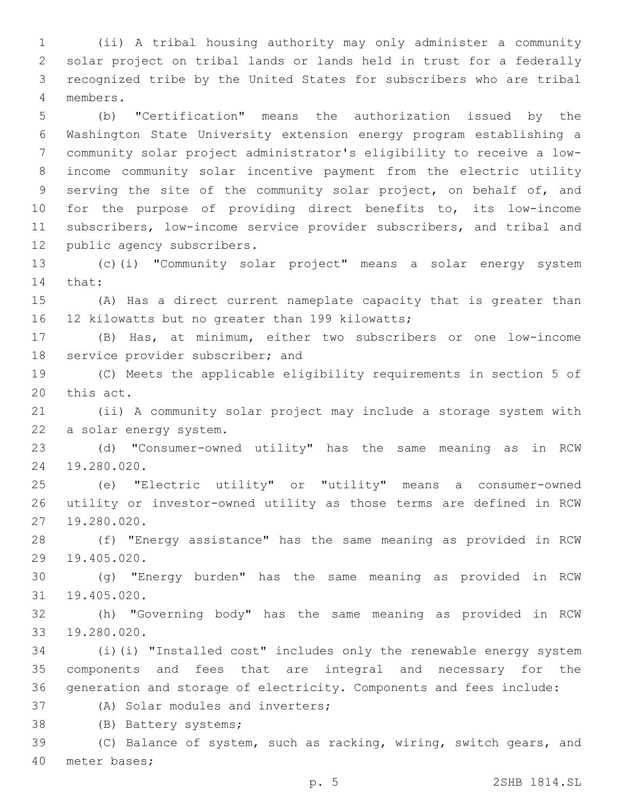(ii) A tribal housing authority may only administer a community solar project on tribal lands or lands held in trust for a federally recognized tribe by the United States for subscribers who are tribal members.4

 (b) "Certification" means the authorization issued by the Washington State University extension energy program establishing a community solar project administrator's eligibility to receive a low- income community solar incentive payment from the electric utility 9 serving the site of the community solar project, on behalf of, and for the purpose of providing direct benefits to, its low-income subscribers, low-income service provider subscribers, and tribal and 12 public agency subscribers.

13 (c)(i) "Community solar project" means a solar energy system 14 that:

15 (A) Has a direct current nameplate capacity that is greater than 16 12 kilowatts but no greater than 199 kilowatts;

17 (B) Has, at minimum, either two subscribers or one low-income 18 service provider subscriber; and

19 (C) Meets the applicable eligibility requirements in section 5 of 20 this act.

21 (ii) A community solar project may include a storage system with 22 a solar energy system.

23 (d) "Consumer-owned utility" has the same meaning as in RCW 24 19.280.020.

25 (e) "Electric utility" or "utility" means a consumer-owned 26 utility or investor-owned utility as those terms are defined in RCW 27 19.280.020.

28 (f) "Energy assistance" has the same meaning as provided in RCW 29 19.405.020.

30 (g) "Energy burden" has the same meaning as provided in RCW 19.405.020.31

32 (h) "Governing body" has the same meaning as provided in RCW 19.280.020.33

34 (i)(i) "Installed cost" includes only the renewable energy system 35 components and fees that are integral and necessary for the 36 generation and storage of electricity. Components and fees include:

37 (A) Solar modules and inverters;

38 (B) Battery systems;

39 (C) Balance of system, such as racking, wiring, switch gears, and 40 meter bases;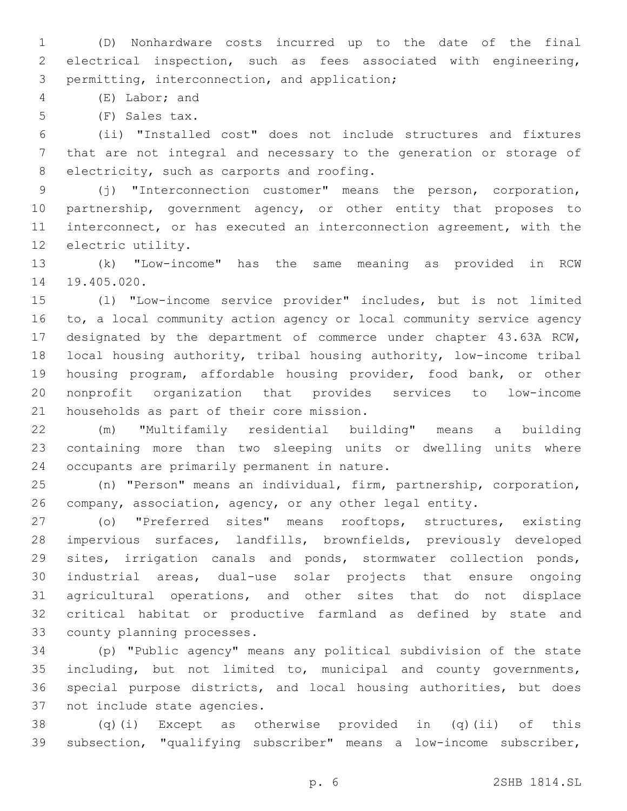(D) Nonhardware costs incurred up to the date of the final electrical inspection, such as fees associated with engineering, 3 permitting, interconnection, and application;

4 (E) Labor; and

5 (F) Sales tax.

 (ii) "Installed cost" does not include structures and fixtures that are not integral and necessary to the generation or storage of 8 electricity, such as carports and roofing.

 (j) "Interconnection customer" means the person, corporation, partnership, government agency, or other entity that proposes to interconnect, or has executed an interconnection agreement, with the 12 electric utility.

 (k) "Low-income" has the same meaning as provided in RCW 14 19.405.020.

 (l) "Low-income service provider" includes, but is not limited to, a local community action agency or local community service agency designated by the department of commerce under chapter 43.63A RCW, local housing authority, tribal housing authority, low-income tribal housing program, affordable housing provider, food bank, or other nonprofit organization that provides services to low-income 21 households as part of their core mission.

 (m) "Multifamily residential building" means a building containing more than two sleeping units or dwelling units where 24 occupants are primarily permanent in nature.

 (n) "Person" means an individual, firm, partnership, corporation, company, association, agency, or any other legal entity.

 (o) "Preferred sites" means rooftops, structures, existing impervious surfaces, landfills, brownfields, previously developed sites, irrigation canals and ponds, stormwater collection ponds, industrial areas, dual-use solar projects that ensure ongoing agricultural operations, and other sites that do not displace critical habitat or productive farmland as defined by state and 33 county planning processes.

 (p) "Public agency" means any political subdivision of the state including, but not limited to, municipal and county governments, special purpose districts, and local housing authorities, but does 37 not include state agencies.

 (q)(i) Except as otherwise provided in (q)(ii) of this subsection, "qualifying subscriber" means a low-income subscriber,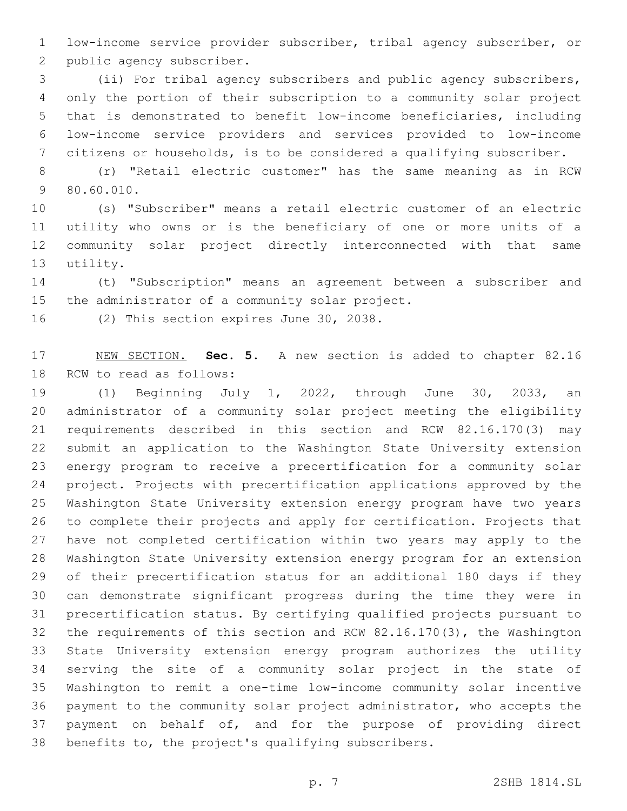low-income service provider subscriber, tribal agency subscriber, or 2 public agency subscriber.

 (ii) For tribal agency subscribers and public agency subscribers, only the portion of their subscription to a community solar project that is demonstrated to benefit low-income beneficiaries, including low-income service providers and services provided to low-income citizens or households, is to be considered a qualifying subscriber.

 (r) "Retail electric customer" has the same meaning as in RCW 80.60.010.9

 (s) "Subscriber" means a retail electric customer of an electric utility who owns or is the beneficiary of one or more units of a community solar project directly interconnected with that same 13 utility.

 (t) "Subscription" means an agreement between a subscriber and 15 the administrator of a community solar project.

16 (2) This section expires June 30, 2038.

 NEW SECTION. **Sec. 5.** A new section is added to chapter 82.16 18 RCW to read as follows:

 (1) Beginning July 1, 2022, through June 30, 2033, an administrator of a community solar project meeting the eligibility requirements described in this section and RCW 82.16.170(3) may submit an application to the Washington State University extension energy program to receive a precertification for a community solar project. Projects with precertification applications approved by the Washington State University extension energy program have two years to complete their projects and apply for certification. Projects that have not completed certification within two years may apply to the Washington State University extension energy program for an extension of their precertification status for an additional 180 days if they can demonstrate significant progress during the time they were in precertification status. By certifying qualified projects pursuant to the requirements of this section and RCW 82.16.170(3), the Washington State University extension energy program authorizes the utility serving the site of a community solar project in the state of Washington to remit a one-time low-income community solar incentive payment to the community solar project administrator, who accepts the payment on behalf of, and for the purpose of providing direct benefits to, the project's qualifying subscribers.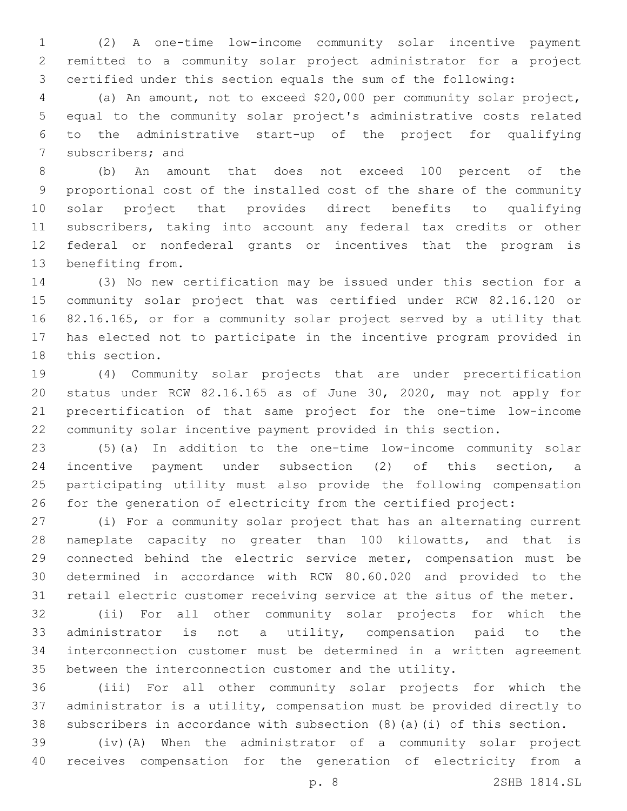(2) A one-time low-income community solar incentive payment remitted to a community solar project administrator for a project certified under this section equals the sum of the following:

 (a) An amount, not to exceed \$20,000 per community solar project, equal to the community solar project's administrative costs related to the administrative start-up of the project for qualifying 7 subscribers; and

 (b) An amount that does not exceed 100 percent of the proportional cost of the installed cost of the share of the community solar project that provides direct benefits to qualifying subscribers, taking into account any federal tax credits or other federal or nonfederal grants or incentives that the program is 13 benefiting from.

 (3) No new certification may be issued under this section for a community solar project that was certified under RCW 82.16.120 or 82.16.165, or for a community solar project served by a utility that has elected not to participate in the incentive program provided in 18 this section.

 (4) Community solar projects that are under precertification status under RCW 82.16.165 as of June 30, 2020, may not apply for precertification of that same project for the one-time low-income community solar incentive payment provided in this section.

 (5)(a) In addition to the one-time low-income community solar incentive payment under subsection (2) of this section, a participating utility must also provide the following compensation for the generation of electricity from the certified project:

 (i) For a community solar project that has an alternating current nameplate capacity no greater than 100 kilowatts, and that is connected behind the electric service meter, compensation must be determined in accordance with RCW 80.60.020 and provided to the retail electric customer receiving service at the situs of the meter.

 (ii) For all other community solar projects for which the administrator is not a utility, compensation paid to the interconnection customer must be determined in a written agreement between the interconnection customer and the utility.

 (iii) For all other community solar projects for which the administrator is a utility, compensation must be provided directly to subscribers in accordance with subsection (8)(a)(i) of this section.

 (iv)(A) When the administrator of a community solar project receives compensation for the generation of electricity from a

p. 8 2SHB 1814.SL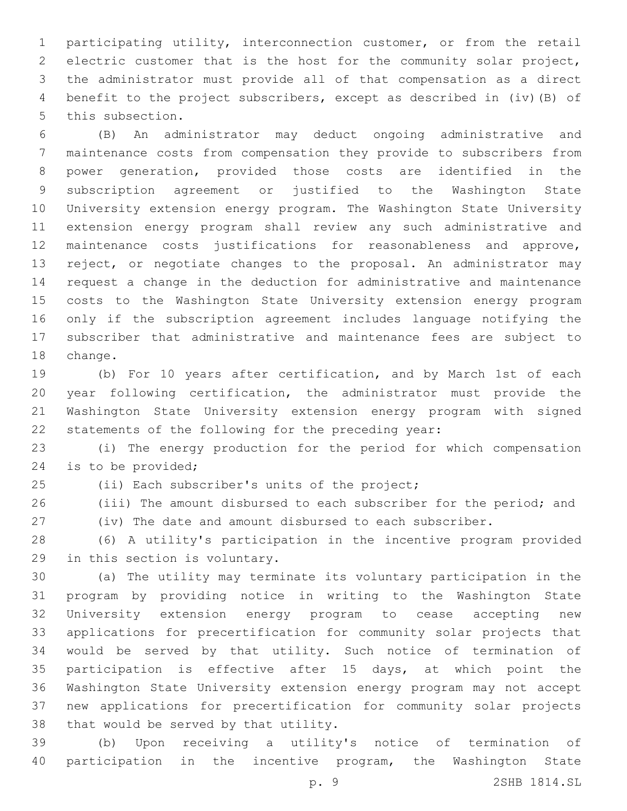participating utility, interconnection customer, or from the retail electric customer that is the host for the community solar project, the administrator must provide all of that compensation as a direct benefit to the project subscribers, except as described in (iv)(B) of 5 this subsection.

 (B) An administrator may deduct ongoing administrative and maintenance costs from compensation they provide to subscribers from power generation, provided those costs are identified in the subscription agreement or justified to the Washington State University extension energy program. The Washington State University extension energy program shall review any such administrative and maintenance costs justifications for reasonableness and approve, reject, or negotiate changes to the proposal. An administrator may request a change in the deduction for administrative and maintenance costs to the Washington State University extension energy program only if the subscription agreement includes language notifying the subscriber that administrative and maintenance fees are subject to 18 change.

 (b) For 10 years after certification, and by March 1st of each year following certification, the administrator must provide the Washington State University extension energy program with signed statements of the following for the preceding year:

 (i) The energy production for the period for which compensation 24 is to be provided;

25 (ii) Each subscriber's units of the project;

26 (iii) The amount disbursed to each subscriber for the period; and

(iv) The date and amount disbursed to each subscriber.

 (6) A utility's participation in the incentive program provided 29 in this section is voluntary.

 (a) The utility may terminate its voluntary participation in the program by providing notice in writing to the Washington State University extension energy program to cease accepting new applications for precertification for community solar projects that would be served by that utility. Such notice of termination of participation is effective after 15 days, at which point the Washington State University extension energy program may not accept new applications for precertification for community solar projects 38 that would be served by that utility.

 (b) Upon receiving a utility's notice of termination of participation in the incentive program, the Washington State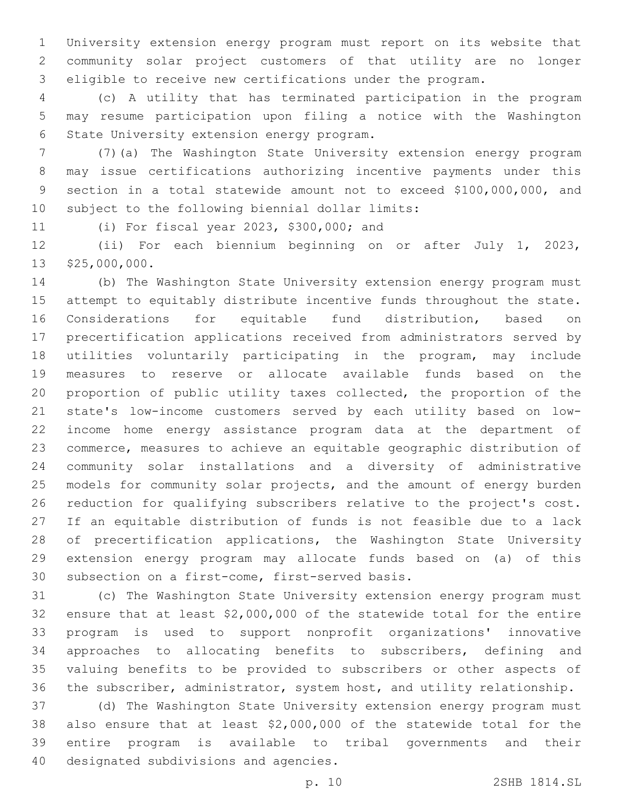University extension energy program must report on its website that community solar project customers of that utility are no longer eligible to receive new certifications under the program.

 (c) A utility that has terminated participation in the program may resume participation upon filing a notice with the Washington 6 State University extension energy program.

 (7)(a) The Washington State University extension energy program may issue certifications authorizing incentive payments under this section in a total statewide amount not to exceed \$100,000,000, and 10 subject to the following biennial dollar limits:

(i) For fiscal year 2023, \$300,000; and11

 (ii) For each biennium beginning on or after July 1, 2023, 13 \$25,000,000.

 (b) The Washington State University extension energy program must attempt to equitably distribute incentive funds throughout the state. Considerations for equitable fund distribution, based on precertification applications received from administrators served by utilities voluntarily participating in the program, may include measures to reserve or allocate available funds based on the proportion of public utility taxes collected, the proportion of the state's low-income customers served by each utility based on low- income home energy assistance program data at the department of commerce, measures to achieve an equitable geographic distribution of community solar installations and a diversity of administrative 25 models for community solar projects, and the amount of energy burden reduction for qualifying subscribers relative to the project's cost. If an equitable distribution of funds is not feasible due to a lack of precertification applications, the Washington State University extension energy program may allocate funds based on (a) of this 30 subsection on a first-come, first-served basis.

 (c) The Washington State University extension energy program must ensure that at least \$2,000,000 of the statewide total for the entire program is used to support nonprofit organizations' innovative approaches to allocating benefits to subscribers, defining and valuing benefits to be provided to subscribers or other aspects of the subscriber, administrator, system host, and utility relationship.

 (d) The Washington State University extension energy program must also ensure that at least \$2,000,000 of the statewide total for the entire program is available to tribal governments and their 40 designated subdivisions and agencies.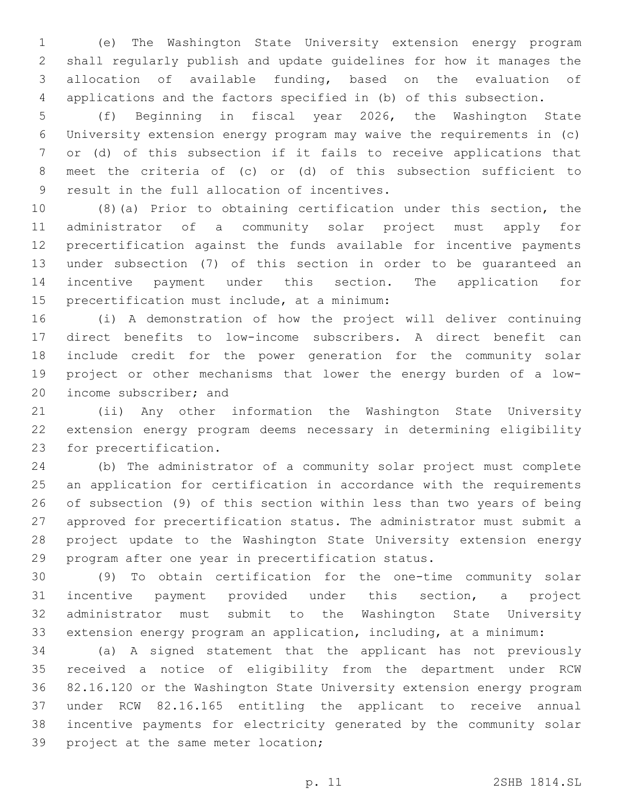(e) The Washington State University extension energy program shall regularly publish and update guidelines for how it manages the allocation of available funding, based on the evaluation of applications and the factors specified in (b) of this subsection.

 (f) Beginning in fiscal year 2026, the Washington State University extension energy program may waive the requirements in (c) or (d) of this subsection if it fails to receive applications that meet the criteria of (c) or (d) of this subsection sufficient to 9 result in the full allocation of incentives.

 (8)(a) Prior to obtaining certification under this section, the administrator of a community solar project must apply for precertification against the funds available for incentive payments under subsection (7) of this section in order to be guaranteed an incentive payment under this section. The application for 15 precertification must include, at a minimum:

 (i) A demonstration of how the project will deliver continuing direct benefits to low-income subscribers. A direct benefit can include credit for the power generation for the community solar project or other mechanisms that lower the energy burden of a low-20 income subscriber; and

 (ii) Any other information the Washington State University extension energy program deems necessary in determining eligibility 23 for precertification.

 (b) The administrator of a community solar project must complete an application for certification in accordance with the requirements of subsection (9) of this section within less than two years of being approved for precertification status. The administrator must submit a project update to the Washington State University extension energy program after one year in precertification status.

 (9) To obtain certification for the one-time community solar incentive payment provided under this section, a project administrator must submit to the Washington State University extension energy program an application, including, at a minimum:

 (a) A signed statement that the applicant has not previously received a notice of eligibility from the department under RCW 82.16.120 or the Washington State University extension energy program under RCW 82.16.165 entitling the applicant to receive annual incentive payments for electricity generated by the community solar 39 project at the same meter location;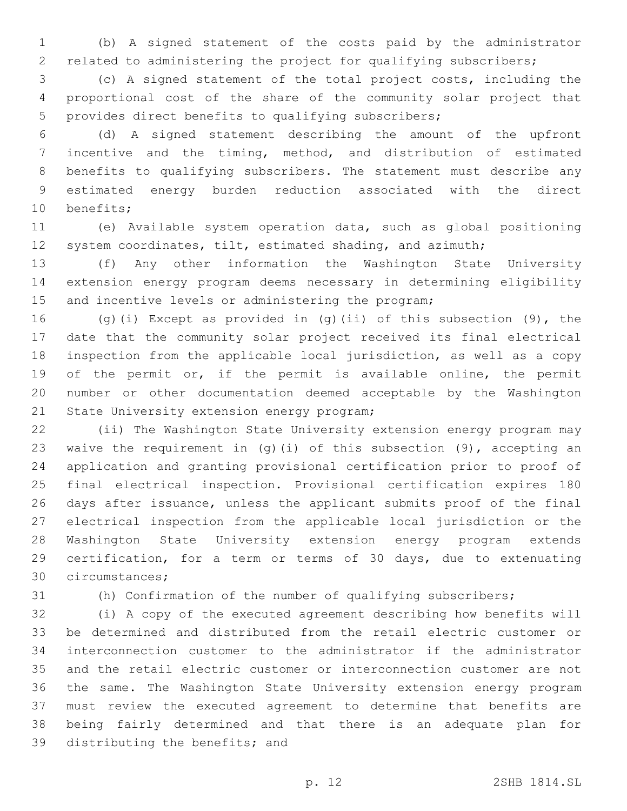(b) A signed statement of the costs paid by the administrator related to administering the project for qualifying subscribers;

 (c) A signed statement of the total project costs, including the proportional cost of the share of the community solar project that provides direct benefits to qualifying subscribers;

 (d) A signed statement describing the amount of the upfront incentive and the timing, method, and distribution of estimated benefits to qualifying subscribers. The statement must describe any estimated energy burden reduction associated with the direct 10 benefits;

 (e) Available system operation data, such as global positioning 12 system coordinates, tilt, estimated shading, and azimuth;

 (f) Any other information the Washington State University extension energy program deems necessary in determining eligibility 15 and incentive levels or administering the program;

 (g)(i) Except as provided in (g)(ii) of this subsection (9), the date that the community solar project received its final electrical inspection from the applicable local jurisdiction, as well as a copy of the permit or, if the permit is available online, the permit number or other documentation deemed acceptable by the Washington 21 State University extension energy program;

 (ii) The Washington State University extension energy program may 23 waive the requirement in  $(q)$  (i) of this subsection  $(9)$ , accepting an application and granting provisional certification prior to proof of final electrical inspection. Provisional certification expires 180 days after issuance, unless the applicant submits proof of the final electrical inspection from the applicable local jurisdiction or the Washington State University extension energy program extends certification, for a term or terms of 30 days, due to extenuating 30 circumstances;

(h) Confirmation of the number of qualifying subscribers;

 (i) A copy of the executed agreement describing how benefits will be determined and distributed from the retail electric customer or interconnection customer to the administrator if the administrator and the retail electric customer or interconnection customer are not the same. The Washington State University extension energy program must review the executed agreement to determine that benefits are being fairly determined and that there is an adequate plan for 39 distributing the benefits; and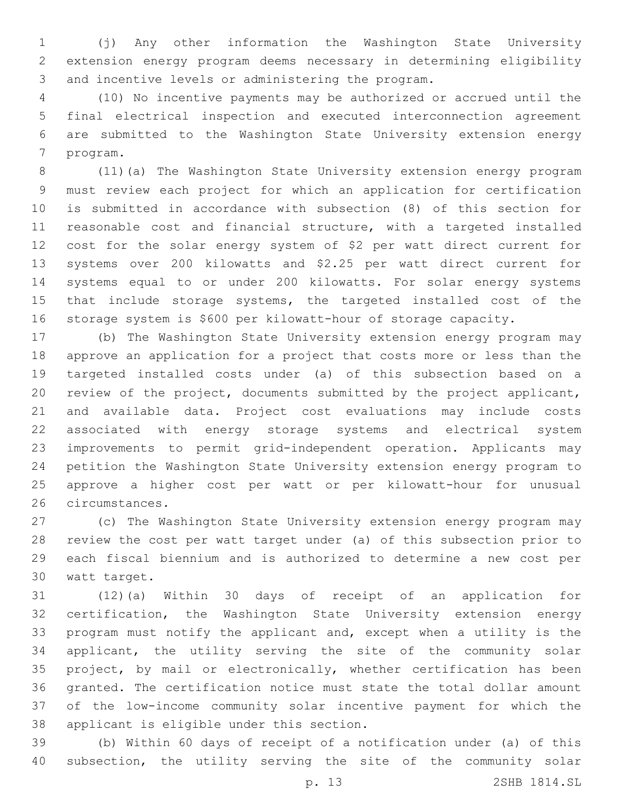(j) Any other information the Washington State University extension energy program deems necessary in determining eligibility 3 and incentive levels or administering the program.

 (10) No incentive payments may be authorized or accrued until the final electrical inspection and executed interconnection agreement are submitted to the Washington State University extension energy 7 program.

 (11)(a) The Washington State University extension energy program must review each project for which an application for certification is submitted in accordance with subsection (8) of this section for reasonable cost and financial structure, with a targeted installed cost for the solar energy system of \$2 per watt direct current for systems over 200 kilowatts and \$2.25 per watt direct current for systems equal to or under 200 kilowatts. For solar energy systems 15 that include storage systems, the targeted installed cost of the storage system is \$600 per kilowatt-hour of storage capacity.

 (b) The Washington State University extension energy program may approve an application for a project that costs more or less than the targeted installed costs under (a) of this subsection based on a review of the project, documents submitted by the project applicant, and available data. Project cost evaluations may include costs associated with energy storage systems and electrical system improvements to permit grid-independent operation. Applicants may petition the Washington State University extension energy program to approve a higher cost per watt or per kilowatt-hour for unusual 26 circumstances.

 (c) The Washington State University extension energy program may review the cost per watt target under (a) of this subsection prior to each fiscal biennium and is authorized to determine a new cost per 30 watt target.

 (12)(a) Within 30 days of receipt of an application for certification, the Washington State University extension energy program must notify the applicant and, except when a utility is the applicant, the utility serving the site of the community solar project, by mail or electronically, whether certification has been granted. The certification notice must state the total dollar amount of the low-income community solar incentive payment for which the 38 applicant is eligible under this section.

 (b) Within 60 days of receipt of a notification under (a) of this subsection, the utility serving the site of the community solar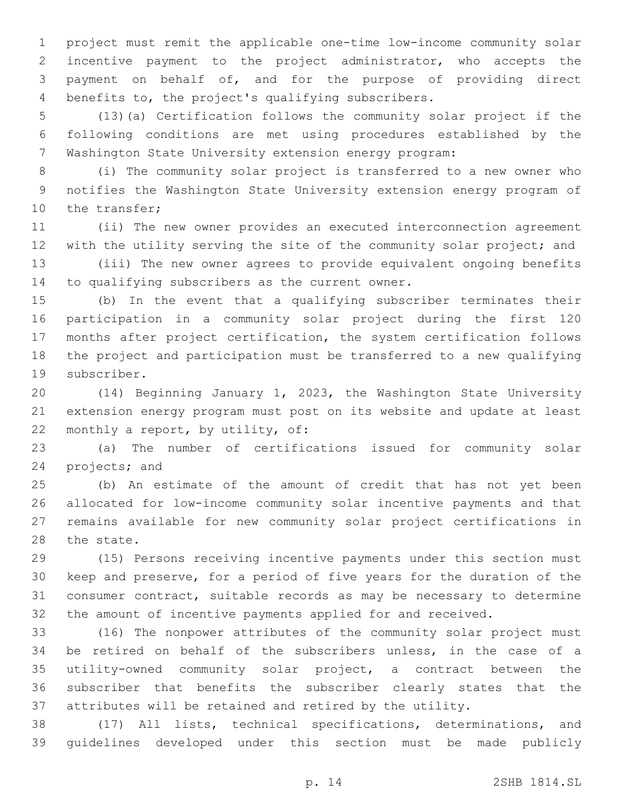project must remit the applicable one-time low-income community solar incentive payment to the project administrator, who accepts the payment on behalf of, and for the purpose of providing direct 4 benefits to, the project's qualifying subscribers.

 (13)(a) Certification follows the community solar project if the following conditions are met using procedures established by the Washington State University extension energy program:

 (i) The community solar project is transferred to a new owner who notifies the Washington State University extension energy program of 10 the transfer;

 (ii) The new owner provides an executed interconnection agreement 12 with the utility serving the site of the community solar project; and

 (iii) The new owner agrees to provide equivalent ongoing benefits 14 to qualifying subscribers as the current owner.

 (b) In the event that a qualifying subscriber terminates their participation in a community solar project during the first 120 months after project certification, the system certification follows the project and participation must be transferred to a new qualifying 19 subscriber.

 (14) Beginning January 1, 2023, the Washington State University extension energy program must post on its website and update at least 22 monthly a report, by utility, of:

 (a) The number of certifications issued for community solar 24 projects; and

 (b) An estimate of the amount of credit that has not yet been allocated for low-income community solar incentive payments and that remains available for new community solar project certifications in 28 the state.

 (15) Persons receiving incentive payments under this section must keep and preserve, for a period of five years for the duration of the consumer contract, suitable records as may be necessary to determine the amount of incentive payments applied for and received.

 (16) The nonpower attributes of the community solar project must be retired on behalf of the subscribers unless, in the case of a utility-owned community solar project, a contract between the subscriber that benefits the subscriber clearly states that the attributes will be retained and retired by the utility.

 (17) All lists, technical specifications, determinations, and guidelines developed under this section must be made publicly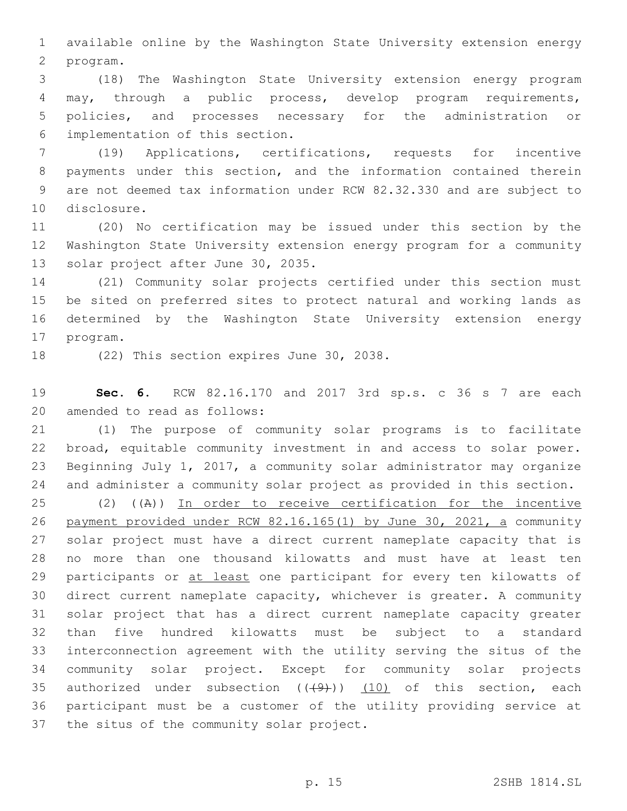available online by the Washington State University extension energy program.2

 (18) The Washington State University extension energy program may, through a public process, develop program requirements, policies, and processes necessary for the administration or implementation of this section.6

 (19) Applications, certifications, requests for incentive payments under this section, and the information contained therein are not deemed tax information under RCW 82.32.330 and are subject to 10 disclosure.

 (20) No certification may be issued under this section by the Washington State University extension energy program for a community 13 solar project after June 30, 2035.

 (21) Community solar projects certified under this section must be sited on preferred sites to protect natural and working lands as determined by the Washington State University extension energy 17 program.

18 (22) This section expires June 30, 2038.

 **Sec. 6.** RCW 82.16.170 and 2017 3rd sp.s. c 36 s 7 are each 20 amended to read as follows:

 (1) The purpose of community solar programs is to facilitate broad, equitable community investment in and access to solar power. Beginning July 1, 2017, a community solar administrator may organize and administer a community solar project as provided in this section.

 (2) ((A)) In order to receive certification for the incentive payment provided under RCW 82.16.165(1) by June 30, 2021, a community solar project must have a direct current nameplate capacity that is no more than one thousand kilowatts and must have at least ten 29 participants or at least one participant for every ten kilowatts of direct current nameplate capacity, whichever is greater. A community solar project that has a direct current nameplate capacity greater than five hundred kilowatts must be subject to a standard interconnection agreement with the utility serving the situs of the community solar project. Except for community solar projects 35 authorized under subsection  $((+9))$   $(10)$  of this section, each participant must be a customer of the utility providing service at 37 the situs of the community solar project.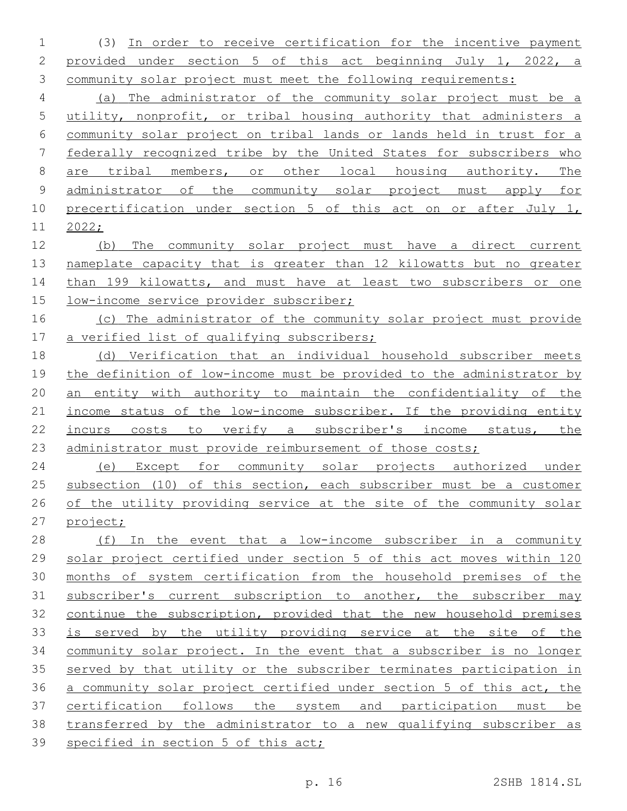(3) In order to receive certification for the incentive payment provided under section 5 of this act beginning July 1, 2022, a community solar project must meet the following requirements:

 (a) The administrator of the community solar project must be a utility, nonprofit, or tribal housing authority that administers a community solar project on tribal lands or lands held in trust for a federally recognized tribe by the United States for subscribers who are tribal members, or other local housing authority. The administrator of the community solar project must apply for precertification under section 5 of this act on or after July 1, 2022;

 (b) The community solar project must have a direct current nameplate capacity that is greater than 12 kilowatts but no greater 14 than 199 kilowatts, and must have at least two subscribers or one 15 low-income service provider subscriber;

 (c) The administrator of the community solar project must provide a verified list of qualifying subscribers;

 (d) Verification that an individual household subscriber meets the definition of low-income must be provided to the administrator by an entity with authority to maintain the confidentiality of the 21 income status of the low-income subscriber. If the providing entity incurs costs to verify a subscriber's income status, the administrator must provide reimbursement of those costs;

 (e) Except for community solar projects authorized under 25 subsection (10) of this section, each subscriber must be a customer of the utility providing service at the site of the community solar project;

28 (f) In the event that a low-income subscriber in a community solar project certified under section 5 of this act moves within 120 months of system certification from the household premises of the subscriber's current subscription to another, the subscriber may continue the subscription, provided that the new household premises is served by the utility providing service at the site of the community solar project. In the event that a subscriber is no longer served by that utility or the subscriber terminates participation in a community solar project certified under section 5 of this act, the certification follows the system and participation must be transferred by the administrator to a new qualifying subscriber as specified in section 5 of this act;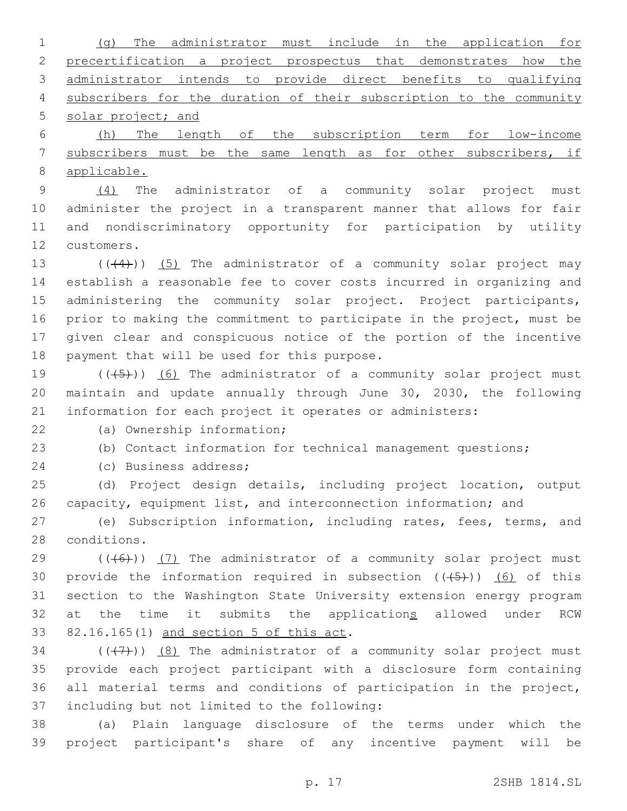(g) The administrator must include in the application for precertification a project prospectus that demonstrates how the administrator intends to provide direct benefits to qualifying subscribers for the duration of their subscription to the community 5 solar project; and

 (h) The length of the subscription term for low-income subscribers must be the same length as for other subscribers, if applicable.

 (4) The administrator of a community solar project must administer the project in a transparent manner that allows for fair and nondiscriminatory opportunity for participation by utility 12 customers.

 $((44))$   $(5)$  The administrator of a community solar project may establish a reasonable fee to cover costs incurred in organizing and 15 administering the community solar project. Project participants, prior to making the commitment to participate in the project, must be given clear and conspicuous notice of the portion of the incentive 18 payment that will be used for this purpose.

19  $((+5+))$  (6) The administrator of a community solar project must maintain and update annually through June 30, 2030, the following information for each project it operates or administers:

(a) Ownership information;22

(b) Contact information for technical management questions;

24 (c) Business address;

 (d) Project design details, including project location, output capacity, equipment list, and interconnection information; and

 (e) Subscription information, including rates, fees, terms, and 28 conditions.

 ( $(\overline{(+6+)})$  (7) The administrator of a community solar project must 30 provide the information required in subsection  $((+5+))$  (6) of this section to the Washington State University extension energy program 32 at the time it submits the applications allowed under RCW 33 82.16.165(1) and section 5 of this act.

 $(1)$  ( $(1)$ ))  $(8)$  The administrator of a community solar project must provide each project participant with a disclosure form containing all material terms and conditions of participation in the project, 37 including but not limited to the following:

 (a) Plain language disclosure of the terms under which the project participant's share of any incentive payment will be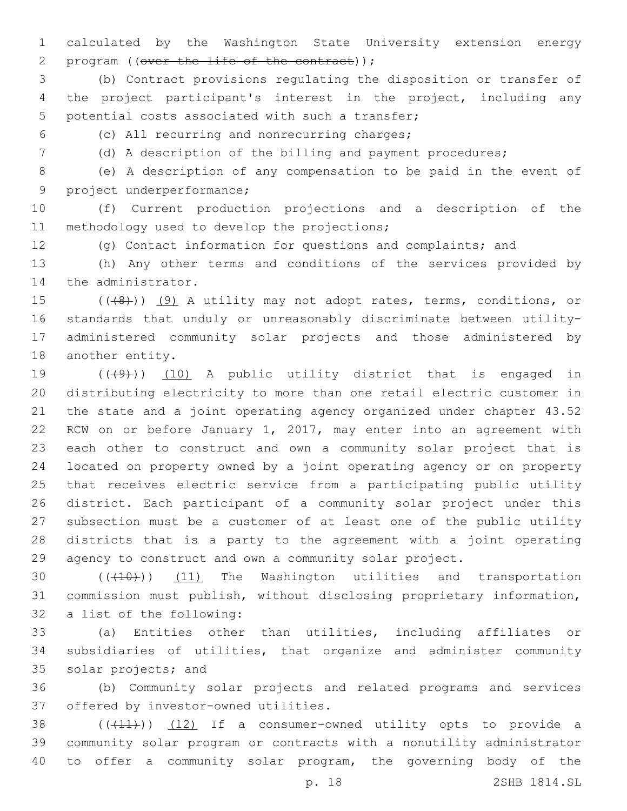calculated by the Washington State University extension energy 2 program ((over the life of the contract));

 (b) Contract provisions regulating the disposition or transfer of the project participant's interest in the project, including any 5 potential costs associated with such a transfer;

(c) All recurring and nonrecurring charges;6

(d) A description of the billing and payment procedures;

 (e) A description of any compensation to be paid in the event of 9 project underperformance;

 (f) Current production projections and a description of the 11 methodology used to develop the projections;

(g) Contact information for questions and complaints; and

 (h) Any other terms and conditions of the services provided by 14 the administrator.

15 (((8)) (9) A utility may not adopt rates, terms, conditions, or standards that unduly or unreasonably discriminate between utility- administered community solar projects and those administered by 18 another entity.

 $((+9+))$   $(10)$  A public utility district that is engaged in distributing electricity to more than one retail electric customer in the state and a joint operating agency organized under chapter 43.52 RCW on or before January 1, 2017, may enter into an agreement with each other to construct and own a community solar project that is located on property owned by a joint operating agency or on property that receives electric service from a participating public utility district. Each participant of a community solar project under this subsection must be a customer of at least one of the public utility districts that is a party to the agreement with a joint operating agency to construct and own a community solar project.

30 (((410)) (11) The Washington utilities and transportation commission must publish, without disclosing proprietary information, 32 a list of the following:

 (a) Entities other than utilities, including affiliates or subsidiaries of utilities, that organize and administer community 35 solar projects; and

 (b) Community solar projects and related programs and services 37 offered by investor-owned utilities.

38  $((+11))$   $(12)$  If a consumer-owned utility opts to provide a community solar program or contracts with a nonutility administrator to offer a community solar program, the governing body of the

p. 18 2SHB 1814.SL